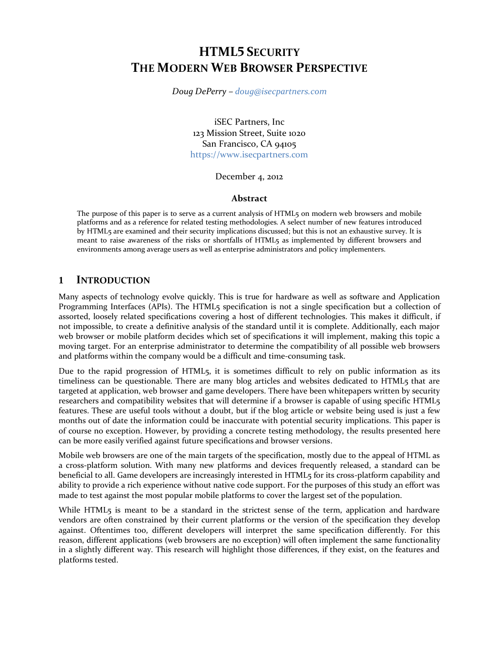# **HTML5 SECURITY THE MODERN WEB BROWSER PERSPECTIVE**

*Doug DePerry – [doug@isecpartners.com](mailto:doug@isecpartners.com)*

iSEC Partners, Inc 123 Mission Street, Suite 1020 San Francisco, CA 94105 [https://www.isecpartners.com](https://www.isecpartners.com/)

December 4, 2012

#### **Abstract**

The purpose of this paper is to serve as a current analysis of HTML5 on modern web browsers and mobile platforms and as a reference for related testing methodologies. A select number of new features introduced by HTML5 are examined and their security implications discussed; but this is not an exhaustive survey. It is meant to raise awareness of the risks or shortfalls of HTML5 as implemented by different browsers and environments among average users as well as enterprise administrators and policy implementers.

#### **1 INTRODUCTION**

Many aspects of technology evolve quickly. This is true for hardware as well as software and Application Programming Interfaces (APIs). The HTML5 specification is not a single specification but a collection of assorted, loosely related specifications covering a host of different technologies. This makes it difficult, if not impossible, to create a definitive analysis of the standard until it is complete. Additionally, each major web browser or mobile platform decides which set of specifications it will implement, making this topic a moving target. For an enterprise administrator to determine the compatibility of all possible web browsers and platforms within the company would be a difficult and time-consuming task.

Due to the rapid progression of HTML5, it is sometimes difficult to rely on public information as its timeliness can be questionable. There are many blog articles and websites dedicated to HTML5 that are targeted at application, web browser and game developers. There have been whitepapers written by security researchers and compatibility websites that will determine if a browser is capable of using specific HTML5 features. These are useful tools without a doubt, but if the blog article or website being used is just a few months out of date the information could be inaccurate with potential security implications. This paper is of course no exception. However, by providing a concrete testing methodology, the results presented here can be more easily verified against future specifications and browser versions.

Mobile web browsers are one of the main targets of the specification, mostly due to the appeal of HTML as a cross-platform solution. With many new platforms and devices frequently released, a standard can be beneficial to all. Game developers are increasingly interested in HTML5 for its cross-platform capability and ability to provide a rich experience without native code support. For the purposes of this study an effort was made to test against the most popular mobile platforms to cover the largest set of the population.

While HTML5 is meant to be a standard in the strictest sense of the term, application and hardware vendors are often constrained by their current platforms or the version of the specification they develop against. Oftentimes too, different developers will interpret the same specification differently. For this reason, different applications (web browsers are no exception) will often implement the same functionality in a slightly different way. This research will highlight those differences, if they exist, on the features and platforms tested.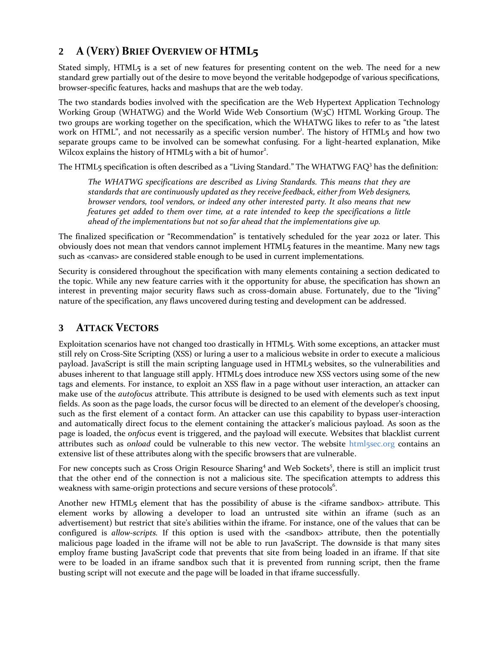# **2 A (VERY) BRIEF OVERVIEW OF HTML5**

Stated simply, HTML<sub>5</sub> is a set of new features for presenting content on the web. The need for a new standard grew partially out of the desire to move beyond the veritable hodgepodge of various specifications, browser-specific features, hacks and mashups that are the web today.

The two standards bodies involved with the specification are the Web Hypertext Application Technology Working Group (WHATWG) and the World Wide Web Consortium (W3C) HTML Working Group. The two groups are working together on the specification, which the WHATWG likes to refer to as "the latest work on HTML", and not necessarily as a specific version number<sup>1</sup>. The history of HTML5 and how two separate groups came to be involved can be somewhat confusing. For a light-hearted explanation, Mike Wilcox explains the history of HTML5 with a bit of humor<sup>2</sup>.

The HTML5 specification is often described as a "Living Standard." The WHATWG FAQ<sup>3</sup> has the definition:

*The WHATWG specifications are described as Living Standards. This means that they are standards that are continuously updated as they receive feedback, either from Web designers, browser vendors, tool vendors, or indeed any other interested party. It also means that new features get added to them over time, at a rate intended to keep the specifications a little ahead of the implementations but not so far ahead that the implementations give up.*

The finalized specification or "Recommendation" is tentatively scheduled for the year 2022 or later. This obviously does not mean that vendors cannot implement HTML5 features in the meantime. Many new tags such as <canvas> are considered stable enough to be used in current implementations.

Security is considered throughout the specification with many elements containing a section dedicated to the topic. While any new feature carries with it the opportunity for abuse, the specification has shown an interest in preventing major security flaws such as cross-domain abuse. Fortunately, due to the "living" nature of the specification, any flaws uncovered during testing and development can be addressed.

## **3 ATTACK VECTORS**

Exploitation scenarios have not changed too drastically in HTML5. With some exceptions, an attacker must still rely on Cross-Site Scripting (XSS) or luring a user to a malicious website in order to execute a malicious payload. JavaScript is still the main scripting language used in HTML5 websites, so the vulnerabilities and abuses inherent to that language still apply. HTML5 does introduce new XSS vectors using some of the new tags and elements. For instance, to exploit an XSS flaw in a page without user interaction, an attacker can make use of the *autofocus* attribute. This attribute is designed to be used with elements such as text input fields. As soon as the page loads, the cursor focus will be directed to an element of the developer's choosing, such as the first element of a contact form. An attacker can use this capability to bypass user-interaction and automatically direct focus to the element containing the attacker's malicious payload. As soon as the page is loaded, the *onfocus* event is triggered, and the payload will execute. Websites that blacklist current attributes such as *onload* could be vulnerable to this new vector. The website [html5sec.org](http://html5sec.org/) contains an extensive list of these attributes along with the specific browsers that are vulnerable.

For new concepts such as Cross Origin Resource Sharing<sup>4</sup> and Web Sockets<sup>5</sup>, there is still an implicit trust that the other end of the connection is not a malicious site. The specification attempts to address this weakness with same-origin protections and secure versions of these protocols<sup>6</sup>.

Another new HTML5 element that has the possibility of abuse is the <iframe sandbox> attribute. This element works by allowing a developer to load an untrusted site within an iframe (such as an advertisement) but restrict that site's abilities within the iframe. For instance, one of the values that can be configured is *allow-scripts.* If this option is used with the <sandbox> attribute, then the potentially malicious page loaded in the iframe will not be able to run JavaScript. The downside is that many sites employ frame busting JavaScript code that prevents that site from being loaded in an iframe. If that site were to be loaded in an iframe sandbox such that it is prevented from running script, then the frame busting script will not execute and the page will be loaded in that iframe successfully.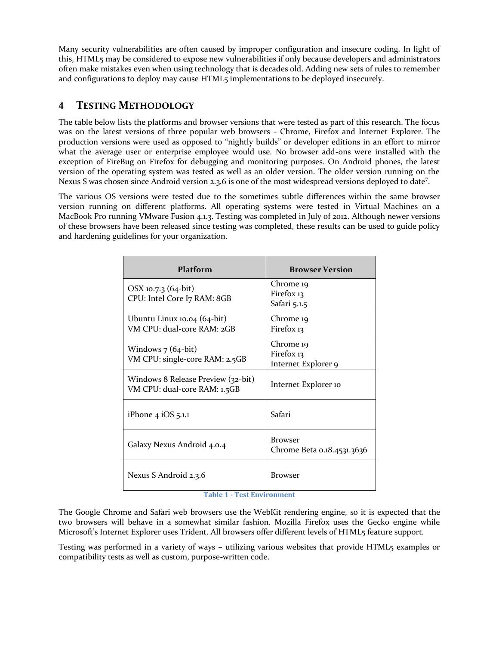Many security vulnerabilities are often caused by improper configuration and insecure coding. In light of this, HTML5 may be considered to expose new vulnerabilities if only because developers and administrators often make mistakes even when using technology that is decades old. Adding new sets of rules to remember and configurations to deploy may cause HTML5 implementations to be deployed insecurely.

## **4 TESTING METHODOLOGY**

The table below lists the platforms and browser versions that were tested as part of this research. The focus was on the latest versions of three popular web browsers - Chrome, Firefox and Internet Explorer. The production versions were used as opposed to "nightly builds" or developer editions in an effort to mirror what the average user or enterprise employee would use. No browser add-ons were installed with the exception of FireBug on Firefox for debugging and monitoring purposes. On Android phones, the latest version of the operating system was tested as well as an older version. The older version running on the Nexus S was chosen since Android version 2.3.6 is one of the most widespread versions deployed to date<sup>7</sup>.

The various OS versions were tested due to the sometimes subtle differences within the same browser version running on different platforms. All operating systems were tested in Virtual Machines on a MacBook Pro running VMware Fusion 4.1.3. Testing was completed in July of 2012. Although newer versions of these browsers have been released since testing was completed, these results can be used to guide policy and hardening guidelines for your organization.

| Platform                                                           | <b>Browser Version</b>                         |
|--------------------------------------------------------------------|------------------------------------------------|
| OSX 10.7.3 (64-bit)<br>CPU: Intel Core I7 RAM: 8GB                 | Chrome 19<br>Firefox 13<br>Safari 5.1.5        |
| Ubuntu Linux 10.04 (64-bit)<br>VM CPU: dual-core RAM: 2GB          | Chrome 19<br>Firefox 13                        |
| Windows 7 (64-bit)<br>VM CPU: single-core RAM: 2.5GB               | Chrome 19<br>Firefox 13<br>Internet Explorer 9 |
| Windows 8 Release Preview (32-bit)<br>VM CPU: dual-core RAM: 1.5GB | Internet Explorer 10                           |
| iPhone $4$ iOS $5.1.1$                                             | Safari                                         |
| Galaxy Nexus Android 4.0.4                                         | <b>Browser</b><br>Chrome Beta 0.18.4531.3636   |
| Nexus S Android 2.3.6                                              | <b>Browser</b>                                 |

**Table 1 - Test Environment**

The Google Chrome and Safari web browsers use the WebKit rendering engine, so it is expected that the two browsers will behave in a somewhat similar fashion. Mozilla Firefox uses the Gecko engine while Microsoft's Internet Explorer uses Trident. All browsers offer different levels of HTML5 feature support.

Testing was performed in a variety of ways – utilizing various websites that provide HTML5 examples or compatibility tests as well as custom, purpose-written code.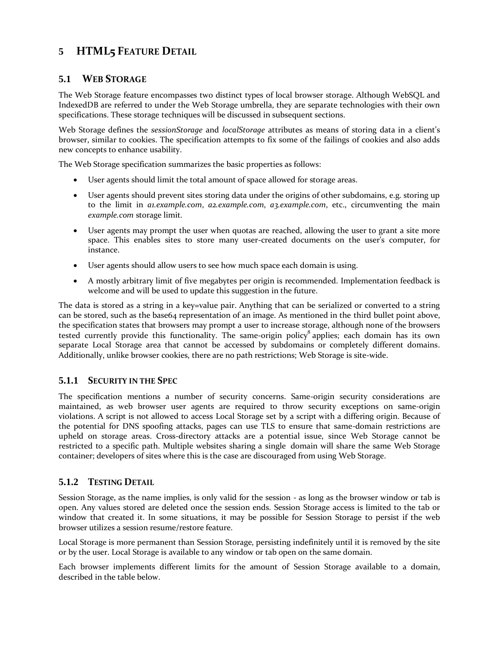## **5 HTML5 FEATURE DETAIL**

## **5.1 WEB STORAGE**

The Web Storage feature encompasses two distinct types of local browser storage. Although WebSQL and IndexedDB are referred to under the Web Storage umbrella, they are separate technologies with their own specifications. These storage techniques will be discussed in subsequent sections.

Web Storage defines the *sessionStorage* and *localStorage* attributes as means of storing data in a client's browser, similar to cookies. The specification attempts to fix some of the failings of cookies and also adds new concepts to enhance usability.

The Web Storage specification summarizes the basic properties as follows:

- User agents should limit the total amount of space allowed for storage areas.
- User agents should prevent sites storing data under the origins of other subdomains, e.g. storing up to the limit in *a1.example.com*, *a2.example.com*, *a3.example.com*, etc., circumventing the main *example.com* storage limit.
- User agents may prompt the user when quotas are reached, allowing the user to grant a site more space. This enables sites to store many user-created documents on the user's computer, for instance.
- User agents should allow users to see how much space each domain is using.
- A mostly arbitrary limit of five megabytes per origin is recommended. Implementation feedback is welcome and will be used to update this suggestion in the future.

The data is stored as a string in a key=value pair. Anything that can be serialized or converted to a string can be stored, such as the base64 representation of an image. As mentioned in the third bullet point above, the specification states that browsers may prompt a user to increase storage, although none of the browsers tested currently provide this functionality. The same-origin policy<sup>8</sup> applies; each domain has its own separate Local Storage area that cannot be accessed by subdomains or completely different domains. Additionally, unlike browser cookies, there are no path restrictions; Web Storage is site-wide.

## **5.1.1 SECURITY IN THE SPEC**

The specification mentions a number of security concerns. Same-origin security considerations are maintained, as web browser user agents are required to throw security exceptions on same-origin violations. A script is not allowed to access Local Storage set by a script with a differing origin. Because of the potential for DNS spoofing attacks, pages can use TLS to ensure that same-domain restrictions are upheld on storage areas. Cross-directory attacks are a potential issue, since Web Storage cannot be restricted to a specific path. Multiple websites sharing a single domain will share the same Web Storage container; developers of sites where this is the case are discouraged from using Web Storage.

## **5.1.2 TESTING DETAIL**

Session Storage, as the name implies, is only valid for the session - as long as the browser window or tab is open. Any values stored are deleted once the session ends. Session Storage access is limited to the tab or window that created it. In some situations, it may be possible for Session Storage to persist if the web browser utilizes a session resume/restore feature.

Local Storage is more permanent than Session Storage, persisting indefinitely until it is removed by the site or by the user. Local Storage is available to any window or tab open on the same domain.

Each browser implements different limits for the amount of Session Storage available to a domain, described in the table below.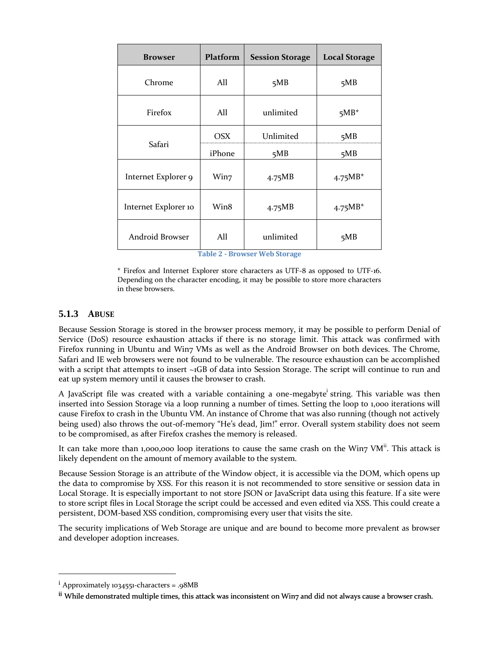| <b>Browser</b>       | Platform   | <b>Session Storage</b> | <b>Local Storage</b> |
|----------------------|------------|------------------------|----------------------|
| Chrome               | All        | 5MB                    | 5MB                  |
| Firefox              | All        | unlimited              | $5MB^*$              |
|                      | <b>OSX</b> | Unlimited              | 5MB                  |
| Safari               | iPhone     | 5MB                    | 5MB                  |
| Internet Explorer 9  | Win7       | 4.75MB                 | $4.75MB*$            |
| Internet Explorer 10 | Win8       | 4.75MB                 | $4.75MB*$            |
| Android Browser      | All        | unlimited              | 5MB                  |

**Table 2 - Browser Web Storage**

\* Firefox and Internet Explorer store characters as UTF-8 as opposed to UTF-16. Depending on the character encoding, it may be possible to store more characters in these browsers.

#### **5.1.3 ABUSE**

Because Session Storage is stored in the browser process memory, it may be possible to perform Denial of Service (DoS) resource exhaustion attacks if there is no storage limit. This attack was confirmed with Firefox running in Ubuntu and Win7 VMs as well as the Android Browser on both devices. The Chrome, Safari and IE web browsers were not found to be vulnerable. The resource exhaustion can be accomplished with a script that attempts to insert ~1GB of data into Session Storage. The script will continue to run and eat up system memory until it causes the browser to crash.

A JavaScript file was created with a variable containing a one-megabyte<sup>i</sup> string. This variable was then inserted into Session Storage via a loop running a number of times. Setting the loop to 1,000 iterations will cause Firefox to crash in the Ubuntu VM. An instance of Chrome that was also running (though not actively being used) also throws the out-of-memory "He's dead, Jim!" error. Overall system stability does not seem to be compromised, as after Firefox crashes the memory is released.

It can take more than 1,000,000 loop iterations to cause the same crash on the Win7 VM<sup>ii</sup>. This attack is likely dependent on the amount of memory available to the system.

Because Session Storage is an attribute of the Window object, it is accessible via the DOM, which opens up the data to compromise by XSS. For this reason it is not recommended to store sensitive or session data in Local Storage. It is especially important to not store JSON or JavaScript data using this feature. If a site were to store script files in Local Storage the script could be accessed and even edited via XSS. This could create a persistent, DOM-based XSS condition, compromising every user that visits the site.

The security implications of Web Storage are unique and are bound to become more prevalent as browser and developer adoption increases.

 $\overline{\phantom{a}}$ 

 $i$  Approximately 1034551-characters = .98MB

ii While demonstrated multiple times, this attack was inconsistent on Win7 and did not always cause a browser crash.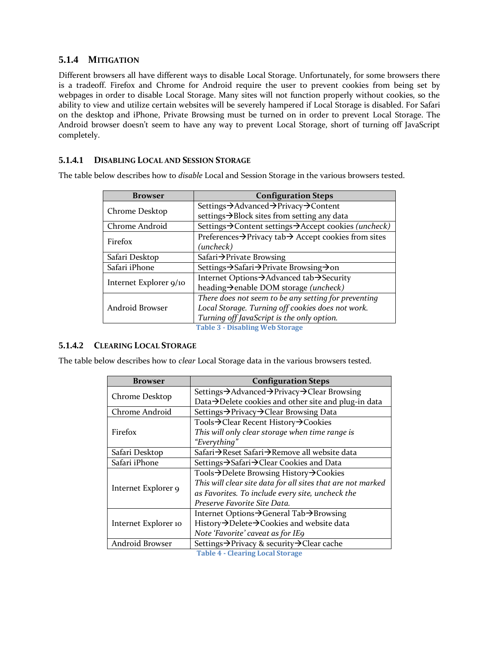## **5.1.4 MITIGATION**

Different browsers all have different ways to disable Local Storage. Unfortunately, for some browsers there is a tradeoff. Firefox and Chrome for Android require the user to prevent cookies from being set by webpages in order to disable Local Storage. Many sites will not function properly without cookies, so the ability to view and utilize certain websites will be severely hampered if Local Storage is disabled. For Safari on the desktop and iPhone, Private Browsing must be turned on in order to prevent Local Storage. The Android browser doesn't seem to have any way to prevent Local Storage, short of turning off JavaScript completely.

#### **5.1.4.1 DISABLING LOCAL AND SESSION STORAGE**

The table below describes how to *disable* Local and Session Storage in the various browsers tested.

| <b>Browser</b>         | <b>Configuration Steps</b>                                                    |
|------------------------|-------------------------------------------------------------------------------|
| Chrome Desktop         | Settings→Advanced→Privacy→Content                                             |
|                        | settings→Block sites from setting any data                                    |
| Chrome Android         | Settings → Content settings → Accept cookies (uncheck)                        |
| Firefox                | Preferences $\rightarrow$ Privacy tab $\rightarrow$ Accept cookies from sites |
|                        | (uncheck)                                                                     |
| Safari Desktop         | Safari $\rightarrow$ Private Browsing                                         |
| Safari iPhone          | Settings → Safari → Private Browsing → on                                     |
|                        | Internet Options → Advanced tab → Security                                    |
| Internet Explorer 9/10 | heading $\rightarrow$ enable DOM storage (uncheck)                            |
|                        | There does not seem to be any setting for preventing                          |
| Android Browser        | Local Storage. Turning off cookies does not work.                             |
|                        | Turning off JavaScript is the only option.                                    |
|                        | <b>Table 3 - Disabling Web Storage</b>                                        |

#### **5.1.4.2 CLEARING LOCAL STORAGE**

The table below describes how to *clear* Local Storage data in the various browsers tested.

| <b>Browser</b>       | <b>Configuration Steps</b>                                  |
|----------------------|-------------------------------------------------------------|
| Chrome Desktop       | Settings → Advanced → Privacy → Clear Browsing              |
|                      | Data→Delete cookies and other site and plug-in data         |
| Chrome Android       | Settings → Privacy → Clear Browsing Data                    |
|                      | Tools→Clear Recent History→Cookies                          |
| Firefox              | This will only clear storage when time range is             |
|                      | "Everything"                                                |
| Safari Desktop       | Safari→Reset Safari→Remove all website data                 |
| Safari iPhone        | Settings → Safari → Clear Cookies and Data                  |
|                      | Tools→Delete Browsing History→Cookies                       |
| Internet Explorer 9  | This will clear site data for all sites that are not marked |
|                      | as Favorites. To include every site, uncheck the            |
|                      | Preserve Favorite Site Data.                                |
|                      | Internet Options → General Tab → Browsing                   |
| Internet Explorer 10 | History→Delete→Cookies and website data                     |
|                      | Note 'Favorite' caveat as for IE9                           |
| Android Browser      | Settings → Privacy & security → Clear cache                 |

**Table 4 - Clearing Local Storage**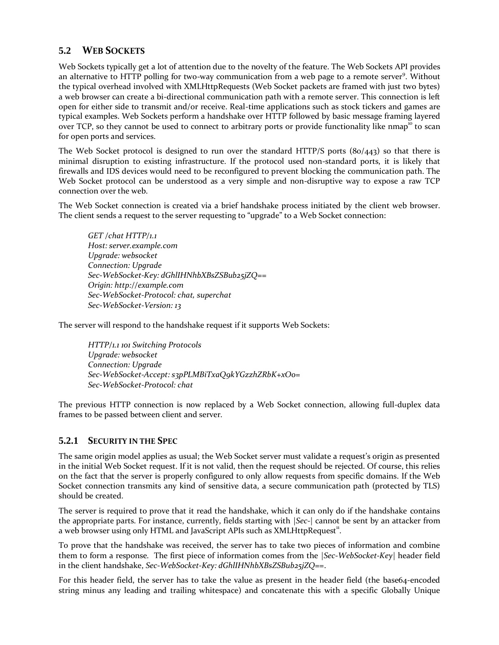## **5.2 WEB SOCKETS**

Web Sockets typically get a lot of attention due to the novelty of the feature. The Web Sockets API provides an alternative to HTTP polling for two-way communication from a web page to a remote server<sup>9</sup>. Without the typical overhead involved with XMLHttpRequests (Web Socket packets are framed with just two bytes) a web browser can create a bi-directional communication path with a remote server. This connection is left open for either side to transmit and/or receive. Real-time applications such as stock tickers and games are typical examples. Web Sockets perform a handshake over HTTP followed by basic message framing layered over TCP, so they cannot be used to connect to arbitrary ports or provide functionality like nmap<sup>10</sup> to scan for open ports and services.

The Web Socket protocol is designed to run over the standard HTTP/S ports (80/443) so that there is minimal disruption to existing infrastructure. If the protocol used non-standard ports, it is likely that firewalls and IDS devices would need to be reconfigured to prevent blocking the communication path. The Web Socket protocol can be understood as a very simple and non-disruptive way to expose a raw TCP connection over the web.

The Web Socket connection is created via a brief handshake process initiated by the client web browser. The client sends a request to the server requesting to "upgrade" to a Web Socket connection:

*GET /chat HTTP/1.1 Host: server.example.com Upgrade: websocket Connection: Upgrade Sec-WebSocket-Key: dGhlIHNhbXBsZSBub25jZQ== Origin: http://example.com Sec-WebSocket-Protocol: chat, superchat Sec-WebSocket-Version: 13*

The server will respond to the handshake request if it supports Web Sockets:

*HTTP/1.1 101 Switching Protocols Upgrade: websocket Connection: Upgrade Sec-WebSocket-Accept: s3pPLMBiTxaQ9kYGzzhZRbK+xOo= Sec-WebSocket-Protocol: chat*

The previous HTTP connection is now replaced by a Web Socket connection, allowing full-duplex data frames to be passed between client and server.

## **5.2.1 SECURITY IN THE SPEC**

The same origin model applies as usual; the Web Socket server must validate a request's origin as presented in the initial Web Socket request. If it is not valid, then the request should be rejected. Of course, this relies on the fact that the server is properly configured to only allow requests from specific domains. If the Web Socket connection transmits any kind of sensitive data, a secure communication path (protected by TLS) should be created.

The server is required to prove that it read the handshake, which it can only do if the handshake contains the appropriate parts. For instance, currently, fields starting with *|Sec-|* cannot be sent by an attacker from a web browser using only HTML and JavaScript APIs such as  $XMLH$ ttpRequest<sup>11</sup>.

To prove that the handshake was received, the server has to take two pieces of information and combine them to form a response. The first piece of information comes from the *|Sec-WebSocket-Key|* header field in the client handshake, *Sec-WebSocket-Key: dGhlIHNhbXBsZSBub25jZQ==*.

For this header field, the server has to take the value as present in the header field (the base64-encoded string minus any leading and trailing whitespace) and concatenate this with a specific Globally Unique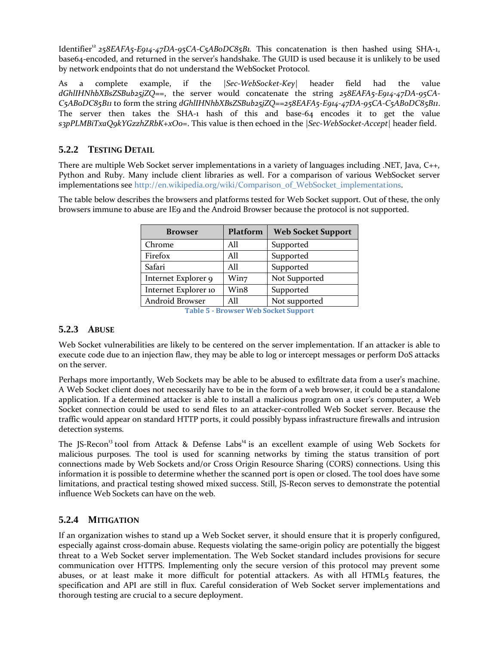Identifier<sup>12</sup> 258EAFA5-E914-47DA-95CA-C5ABoDC85B1. This concatenation is then hashed using SHA-1, base64-encoded, and returned in the server's handshake. The GUID is used because it is unlikely to be used by network endpoints that do not understand the WebSocket Protocol.

As a complete example, if the *|Sec-WebSocket-Key|* header field had the value *dGhlIHNhbXBsZSBub25jZQ==*, the server would concatenate the string *258EAFA5-E914-47DA-95CA-C5AB0DC85B11* to form the string *dGhlIHNhbXBsZSBub25jZQ==258EAFA5-E914-47DA-95CA-C5AB0DC85B11*. The server then takes the SHA-1 hash of this and base-64 encodes it to get the value *s3pPLMBiTxaQ9kYGzzhZRbK+xOo=*. This value is then echoed in the *|Sec-WebSocket-Accept|* header field.

## **5.2.2 TESTING DETAIL**

There are multiple Web Socket server implementations in a variety of languages including .NET, Java, C++, Python and Ruby. Many include client libraries as well. For a comparison of various WebSocket server implementations se[e http://en.wikipedia.org/wiki/Comparison\\_of\\_WebSocket\\_implementations.](http://en.wikipedia.org/wiki/Comparison_of_WebSocket_implementations)

The table below describes the browsers and platforms tested for Web Socket support. Out of these, the only browsers immune to abuse are IE9 and the Android Browser because the protocol is not supported.

| <b>Browser</b>       | Platform | <b>Web Socket Support</b> |
|----------------------|----------|---------------------------|
| Chrome               | All      | Supported                 |
| Firefox              | A11      | Supported                 |
| Safari               | A11      | Supported                 |
| Internet Explorer 9  | Win7     | Not Supported             |
| Internet Explorer 10 | Win8     | Supported                 |
| Android Browser      | A11      | Not supported             |

**Table 5 - Browser Web Socket Support**

## **5.2.3 ABUSE**

Web Socket vulnerabilities are likely to be centered on the server implementation. If an attacker is able to execute code due to an injection flaw, they may be able to log or intercept messages or perform DoS attacks on the server.

Perhaps more importantly, Web Sockets may be able to be abused to exfiltrate data from a user's machine. A Web Socket client does not necessarily have to be in the form of a web browser, it could be a standalone application. If a determined attacker is able to install a malicious program on a user's computer, a Web Socket connection could be used to send files to an attacker-controlled Web Socket server. Because the traffic would appear on standard HTTP ports, it could possibly bypass infrastructure firewalls and intrusion detection systems.

The JS-Recon<sup>13</sup> tool from Attack & Defense Labs<sup>14</sup> is an excellent example of using Web Sockets for malicious purposes. The tool is used for scanning networks by timing the status transition of port connections made by Web Sockets and/or Cross Origin Resource Sharing (CORS) connections. Using this information it is possible to determine whether the scanned port is open or closed. The tool does have some limitations, and practical testing showed mixed success. Still, JS-Recon serves to demonstrate the potential influence Web Sockets can have on the web.

## **5.2.4 MITIGATION**

If an organization wishes to stand up a Web Socket server, it should ensure that it is properly configured, especially against cross-domain abuse. Requests violating the same-origin policy are potentially the biggest threat to a Web Socket server implementation. The Web Socket standard includes provisions for secure communication over HTTPS. Implementing only the secure version of this protocol may prevent some abuses, or at least make it more difficult for potential attackers. As with all HTML5 features, the specification and API are still in flux. Careful consideration of Web Socket server implementations and thorough testing are crucial to a secure deployment.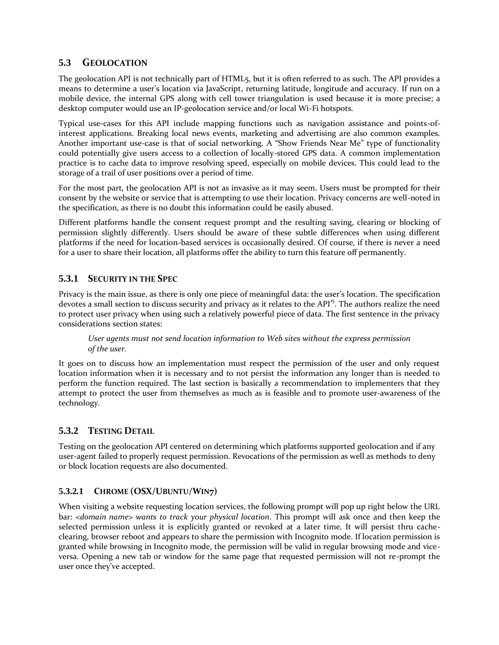## **5.3 GEOLOCATION**

The geolocation API is not technically part of HTML5, but it is often referred to as such. The API provides a means to determine a user's location via JavaScript, returning latitude, longitude and accuracy. If run on a mobile device, the internal GPS along with cell tower triangulation is used because it is more precise; a desktop computer would use an IP-geolocation service and/or local Wi-Fi hotspots.

Typical use-cases for this API include mapping functions such as navigation assistance and points-ofinterest applications. Breaking local news events, marketing and advertising are also common examples. Another important use-case is that of social networking. A "Show Friends Near Me" type of functionality could potentially give users access to a collection of locally-stored GPS data. A common implementation practice is to cache data to improve resolving speed, especially on mobile devices. This could lead to the storage of a trail of user positions over a period of time.

For the most part, the geolocation API is not as invasive as it may seem. Users must be prompted for their consent by the website or service that is attempting to use their location. Privacy concerns are well-noted in the specification, as there is no doubt this information could be easily abused.

Different platforms handle the consent request prompt and the resulting saving, clearing or blocking of permission slightly differently. Users should be aware of these subtle differences when using different platforms if the need for location-based services is occasionally desired. Of course, if there is never a need for a user to share their location, all platforms offer the ability to turn this feature off permanently.

## **5.3.1 SECURITY IN THE SPEC**

Privacy is the main issue, as there is only one piece of meaningful data: the user's location. The specification devotes a small section to discuss security and privacy as it relates to the API<sup>15</sup>. The authors realize the need to protect user privacy when using such a relatively powerful piece of data. The first sentence in the privacy considerations section states:

#### *User agents must not send location information to Web sites without the express permission of the user.*

It goes on to discuss how an implementation must respect the permission of the user and only request location information when it is necessary and to not persist the information any longer than is needed to perform the function required. The last section is basically a recommendation to implementers that they attempt to protect the user from themselves as much as is feasible and to promote user-awareness of the technology.

## **5.3.2 TESTING DETAIL**

Testing on the geolocation API centered on determining which platforms supported geolocation and if any user-agent failed to properly request permission. Revocations of the permission as well as methods to deny or block location requests are also documented.

## **5.3.2.1 CHROME (OSX/UBUNTU/WIN7)**

When visiting a website requesting location services, the following prompt will pop up right below the URL bar: *<domain name> wants to track your physical location*. This prompt will ask once and then keep the selected permission unless it is explicitly granted or revoked at a later time. It will persist thru cacheclearing, browser reboot and appears to share the permission with Incognito mode. If location permission is granted while browsing in Incognito mode, the permission will be valid in regular browsing mode and viceversa. Opening a new tab or window for the same page that requested permission will not re-prompt the user once they've accepted.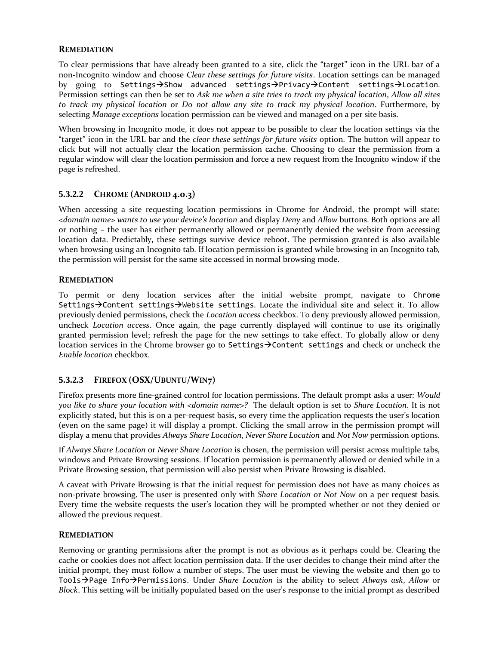#### **REMEDIATION**

To clear permissions that have already been granted to a site, click the "target" icon in the URL bar of a non-Incognito window and choose *Clear these settings for future visits*. Location settings can be managed by going to Settings->Show advanced settings->Privacy->Content settings->Location. Permission settings can then be set to *Ask me when a site tries to track my physical location*, *Allow all sites to track my physical location* or *Do not allow any site to track my physical location*. Furthermore, by selecting *Manage exceptions* location permission can be viewed and managed on a per site basis.

When browsing in Incognito mode, it does not appear to be possible to clear the location settings via the "target" icon in the URL bar and the *clear these settings for future visits* option. The button will appear to click but will not actually clear the location permission cache. Choosing to clear the permission from a regular window will clear the location permission and force a new request from the Incognito window if the page is refreshed.

## **5.3.2.2 CHROME (ANDROID 4.0.3)**

When accessing a site requesting location permissions in Chrome for Android, the prompt will state: *<domain name> wants to use your device's location* and display *Deny* and *Allow* buttons. Both options are all or nothing – the user has either permanently allowed or permanently denied the website from accessing location data. Predictably, these settings survive device reboot. The permission granted is also available when browsing using an Incognito tab. If location permission is granted while browsing in an Incognito tab, the permission will persist for the same site accessed in normal browsing mode.

#### **REMEDIATION**

To permit or deny location services after the initial website prompt, navigate to Chrome Settings->Content settings->Website settings. Locate the individual site and select it. To allow previously denied permissions, check the *Location access* checkbox. To deny previously allowed permission, uncheck *Location access*. Once again, the page currently displayed will continue to use its originally granted permission level; refresh the page for the new settings to take effect. To globally allow or deny location services in the Chrome browser go to Settings->Content settings and check or uncheck the *Enable location* checkbox.

## **5.3.2.3 FIREFOX (OSX/UBUNTU/WIN7)**

Firefox presents more fine-grained control for location permissions. The default prompt asks a user: *Would you like to share your location with <domain name>?* The default option is set to *Share Location*. It is not explicitly stated, but this is on a per-request basis, so every time the application requests the user's location (even on the same page) it will display a prompt. Clicking the small arrow in the permission prompt will display a menu that provides *Always Share Location*, *Never Share Location* and *Not Now* permission options.

If *Always Share Location* or *Never Share Location* is chosen, the permission will persist across multiple tabs, windows and Private Browsing sessions. If location permission is permanently allowed or denied while in a Private Browsing session, that permission will also persist when Private Browsing is disabled.

A caveat with Private Browsing is that the initial request for permission does not have as many choices as non-private browsing. The user is presented only with *Share Location* or *Not Now* on a per request basis. Every time the website requests the user's location they will be prompted whether or not they denied or allowed the previous request.

#### **REMEDIATION**

Removing or granting permissions after the prompt is not as obvious as it perhaps could be. Clearing the cache or cookies does not affect location permission data. If the user decides to change their mind after the initial prompt, they must follow a number of steps. The user must be viewing the website and then go to ToolsPage InfoPermissions. Under *Share Location* is the ability to select *Always ask*, *Allow* or *Block*. This setting will be initially populated based on the user's response to the initial prompt as described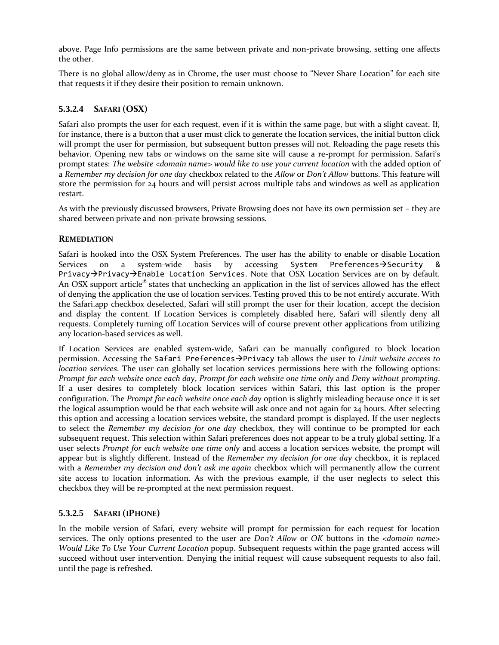above. Page Info permissions are the same between private and non-private browsing, setting one affects the other.

There is no global allow/deny as in Chrome, the user must choose to "Never Share Location" for each site that requests it if they desire their position to remain unknown.

### **5.3.2.4 SAFARI (OSX)**

Safari also prompts the user for each request, even if it is within the same page, but with a slight caveat. If, for instance, there is a button that a user must click to generate the location services, the initial button click will prompt the user for permission, but subsequent button presses will not. Reloading the page resets this behavior. Opening new tabs or windows on the same site will cause a re-prompt for permission. Safari's prompt states: *The website <domain name> would like to use your current location* with the added option of a *Remember my decision for one day* checkbox related to the *Allow* or *Don't Allow* buttons. This feature will store the permission for 24 hours and will persist across multiple tabs and windows as well as application restart.

As with the previously discussed browsers, Private Browsing does not have its own permission set – they are shared between private and non-private browsing sessions.

#### **REMEDIATION**

Safari is hooked into the OSX System Preferences. The user has the ability to enable or disable Location Services on a system-wide basis by accessing System Preferences $\rightarrow$ Security & Privacy-Privacy-Enable Location Services. Note that OSX Location Services are on by default. An OSX support article<sup>16</sup> states that unchecking an application in the list of services allowed has the effect of denying the application the use of location services. Testing proved this to be not entirely accurate. With the Safari.app checkbox deselected, Safari will still prompt the user for their location, accept the decision and display the content. If Location Services is completely disabled here, Safari will silently deny all requests. Completely turning off Location Services will of course prevent other applications from utilizing any location-based services as well.

If Location Services are enabled system-wide, Safari can be manually configured to block location permission. Accessing the Safari Preferences-Privacy tab allows the user to *Limit website access to location services*. The user can globally set location services permissions here with the following options: *Prompt for each website once each day*, *Prompt for each website one time only* and *Deny without prompting*. If a user desires to completely block location services within Safari, this last option is the proper configuration. The *Prompt for each website once each day* option is slightly misleading because once it is set the logical assumption would be that each website will ask once and not again for 24 hours. After selecting this option and accessing a location services website, the standard prompt is displayed. If the user neglects to select the *Remember my decision for one day* checkbox, they will continue to be prompted for each subsequent request. This selection within Safari preferences does not appear to be a truly global setting. If a user selects *Prompt for each website one time only* and access a location services website, the prompt will appear but is slightly different. Instead of the *Remember my decision for one day* checkbox, it is replaced with a *Remember my decision and don't ask me again* checkbox which will permanently allow the current site access to location information. As with the previous example, if the user neglects to select this checkbox they will be re-prompted at the next permission request.

## **5.3.2.5 SAFARI (IPHONE)**

In the mobile version of Safari, every website will prompt for permission for each request for location services. The only options presented to the user are *Don't Allow* or *OK* buttons in the *<domain name> Would Like To Use Your Current Location* popup. Subsequent requests within the page granted access will succeed without user intervention. Denying the initial request will cause subsequent requests to also fail, until the page is refreshed.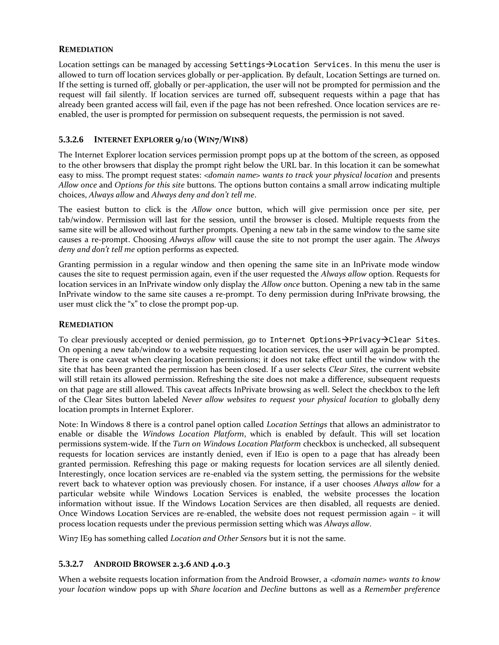#### **REMEDIATION**

Location settings can be managed by accessing Settings $\rightarrow$ Location Services. In this menu the user is allowed to turn off location services globally or per-application. By default, Location Settings are turned on. If the setting is turned off, globally or per-application, the user will not be prompted for permission and the request will fail silently. If location services are turned off, subsequent requests within a page that has already been granted access will fail, even if the page has not been refreshed. Once location services are reenabled, the user is prompted for permission on subsequent requests, the permission is not saved.

## **5.3.2.6 INTERNET EXPLORER 9/10 (WIN7/WIN8)**

The Internet Explorer location services permission prompt pops up at the bottom of the screen, as opposed to the other browsers that display the prompt right below the URL bar. In this location it can be somewhat easy to miss. The prompt request states: *<domain name> wants to track your physical location* and presents *Allow once* and *Options for this site* buttons. The options button contains a small arrow indicating multiple choices, *Always allow* and *Always deny and don't tell me*.

The easiest button to click is the *Allow once* button, which will give permission once per site, per tab/window. Permission will last for the session, until the browser is closed. Multiple requests from the same site will be allowed without further prompts. Opening a new tab in the same window to the same site causes a re-prompt. Choosing *Always allow* will cause the site to not prompt the user again. The *Always deny and don't tell me* option performs as expected.

Granting permission in a regular window and then opening the same site in an InPrivate mode window causes the site to request permission again, even if the user requested the *Always allow* option. Requests for location services in an InPrivate window only display the *Allow once* button. Opening a new tab in the same InPrivate window to the same site causes a re-prompt. To deny permission during InPrivate browsing, the user must click the "x" to close the prompt pop-up.

#### **REMEDIATION**

To clear previously accepted or denied permission, go to Internet Options $\rightarrow$ Privacy $\rightarrow$ Clear Sites. On opening a new tab/window to a website requesting location services, the user will again be prompted. There is one caveat when clearing location permissions; it does not take effect until the window with the site that has been granted the permission has been closed. If a user selects *Clear Sites*, the current website will still retain its allowed permission. Refreshing the site does not make a difference, subsequent requests on that page are still allowed. This caveat affects InPrivate browsing as well. Select the checkbox to the left of the Clear Sites button labeled *Never allow websites to request your physical location* to globally deny location prompts in Internet Explorer.

Note: In Windows 8 there is a control panel option called *Location Settings* that allows an administrator to enable or disable the *Windows Location Platform*, which is enabled by default. This will set location permissions system-wide. If the *Turn on Windows Location Platform* checkbox is unchecked, all subsequent requests for location services are instantly denied, even if IE10 is open to a page that has already been granted permission. Refreshing this page or making requests for location services are all silently denied. Interestingly, once location services are re-enabled via the system setting, the permissions for the website revert back to whatever option was previously chosen. For instance, if a user chooses *Always allow* for a particular website while Windows Location Services is enabled, the website processes the location information without issue. If the Windows Location Services are then disabled, all requests are denied. Once Windows Location Services are re-enabled, the website does not request permission again – it will process location requests under the previous permission setting which was *Always allow*.

Win7 IE9 has something called *Location and Other Sensors* but it is not the same.

#### **5.3.2.7 ANDROID BROWSER 2.3.6 AND 4.0.3**

When a website requests location information from the Android Browser, a *<domain name> wants to know your location* window pops up with *Share location* and *Decline* buttons as well as a *Remember preference*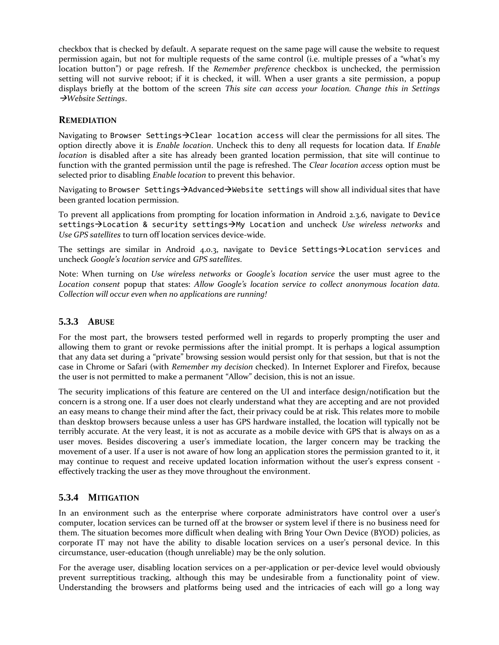checkbox that is checked by default. A separate request on the same page will cause the website to request permission again, but not for multiple requests of the same control (i.e. multiple presses of a "what's my location button") or page refresh. If the *Remember preference* checkbox is unchecked, the permission setting will not survive reboot; if it is checked, it will. When a user grants a site permission, a popup displays briefly at the bottom of the screen *This site can access your location. Change this in Settings Website Settings*.

#### **REMEDIATION**

Navigating to Browser Settings $\rightarrow$ Clear location access will clear the permissions for all sites. The option directly above it is *Enable location*. Uncheck this to deny all requests for location data. If *Enable location* is disabled after a site has already been granted location permission, that site will continue to function with the granted permission until the page is refreshed. The *Clear location access* option must be selected prior to disabling *Enable location* to prevent this behavior.

Navigating to Browser Settings-Advanced-Website settings will show all individual sites that have been granted location permission.

To prevent all applications from prompting for location information in Android 2.3.6, navigate to Device settings->Location & security settings->My Location and uncheck *Use wireless networks* and *Use GPS satellites* to turn off location services device-wide.

The settings are similar in Android 4.0.3, navigate to Device Settings > Location services and uncheck *Google's location service* and *GPS satellites*.

Note: When turning on *Use wireless networks* or *Google's location service* the user must agree to the *Location consent* popup that states: *Allow Google's location service to collect anonymous location data. Collection will occur even when no applications are running!*

### **5.3.3 ABUSE**

For the most part, the browsers tested performed well in regards to properly prompting the user and allowing them to grant or revoke permissions after the initial prompt. It is perhaps a logical assumption that any data set during a "private" browsing session would persist only for that session, but that is not the case in Chrome or Safari (with *Remember my decision* checked). In Internet Explorer and Firefox, because the user is not permitted to make a permanent "Allow" decision, this is not an issue.

The security implications of this feature are centered on the UI and interface design/notification but the concern is a strong one. If a user does not clearly understand what they are accepting and are not provided an easy means to change their mind after the fact, their privacy could be at risk. This relates more to mobile than desktop browsers because unless a user has GPS hardware installed, the location will typically not be terribly accurate. At the very least, it is not as accurate as a mobile device with GPS that is always on as a user moves. Besides discovering a user's immediate location, the larger concern may be tracking the movement of a user. If a user is not aware of how long an application stores the permission granted to it, it may continue to request and receive updated location information without the user's express consent effectively tracking the user as they move throughout the environment.

## **5.3.4 MITIGATION**

In an environment such as the enterprise where corporate administrators have control over a user's computer, location services can be turned off at the browser or system level if there is no business need for them. The situation becomes more difficult when dealing with Bring Your Own Device (BYOD) policies, as corporate IT may not have the ability to disable location services on a user's personal device. In this circumstance, user-education (though unreliable) may be the only solution.

For the average user, disabling location services on a per-application or per-device level would obviously prevent surreptitious tracking, although this may be undesirable from a functionality point of view. Understanding the browsers and platforms being used and the intricacies of each will go a long way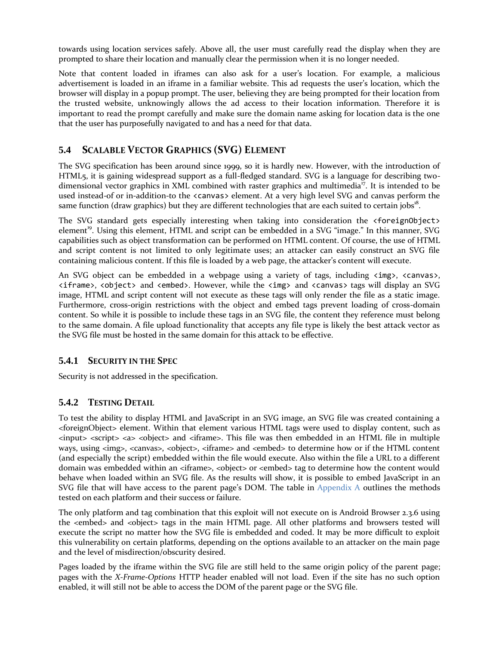towards using location services safely. Above all, the user must carefully read the display when they are prompted to share their location and manually clear the permission when it is no longer needed.

Note that content loaded in iframes can also ask for a user's location. For example, a malicious advertisement is loaded in an iframe in a familiar website. This ad requests the user's location, which the browser will display in a popup prompt. The user, believing they are being prompted for their location from the trusted website, unknowingly allows the ad access to their location information. Therefore it is important to read the prompt carefully and make sure the domain name asking for location data is the one that the user has purposefully navigated to and has a need for that data.

## **5.4 SCALABLE VECTOR GRAPHICS (SVG) ELEMENT**

The SVG specification has been around since 1999, so it is hardly new. However, with the introduction of HTML5, it is gaining widespread support as a full-fledged standard. SVG is a language for describing twodimensional vector graphics in XML combined with raster graphics and multimedia<sup>17</sup>. It is intended to be used instead-of or in-addition-to the <canvas> element. At a very high level SVG and canvas perform the same function (draw graphics) but they are different technologies that are each suited to certain jobs $^{18}$ .

The SVG standard gets especially interesting when taking into consideration the <foreignObject> element<sup>19</sup>. Using this element, HTML and script can be embedded in a SVG "image." In this manner, SVG capabilities such as object transformation can be performed on HTML content. Of course, the use of HTML and script content is not limited to only legitimate uses; an attacker can easily construct an SVG file containing malicious content. If this file is loaded by a web page, the attacker's content will execute.

An SVG object can be embedded in a webpage using a variety of tags, including  $\langle \text{img}\rangle$ ,  $\langle \text{canvass}\rangle$ , <iframe>, <object> and <embed>. However, while the <img> and <canvas> tags will display an SVG image, HTML and script content will not execute as these tags will only render the file as a static image. Furthermore, cross-origin restrictions with the object and embed tags prevent loading of cross-domain content. So while it is possible to include these tags in an SVG file, the content they reference must belong to the same domain. A file upload functionality that accepts any file type is likely the best attack vector as the SVG file must be hosted in the same domain for this attack to be effective.

## **5.4.1 SECURITY IN THE SPEC**

Security is not addressed in the specification.

## **5.4.2 TESTING DETAIL**

To test the ability to display HTML and JavaScript in an SVG image, an SVG file was created containing a <foreignObject> element. Within that element various HTML tags were used to display content, such as <input> <script> <a> <object> and <iframe>. This file was then embedded in an HTML file in multiple ways, using <img>, <canvas>, <object>, <iframe> and <embed> to determine how or if the HTML content (and especially the script) embedded within the file would execute. Also within the file a URL to a different domain was embedded within an <iframe>, <object> or <embed> tag to determine how the content would behave when loaded within an SVG file. As the results will show, it is possible to embed JavaScript in an SVG file that will have access to the parent page's DOM. The table in [Appendix A](#page-19-0) outlines the methods tested on each platform and their success or failure.

The only platform and tag combination that this exploit will not execute on is Android Browser 2.3.6 using the <embed> and <object> tags in the main HTML page. All other platforms and browsers tested will execute the script no matter how the SVG file is embedded and coded. It may be more difficult to exploit this vulnerability on certain platforms, depending on the options available to an attacker on the main page and the level of misdirection/obscurity desired.

Pages loaded by the iframe within the SVG file are still held to the same origin policy of the parent page; pages with the *X-Frame-Options* HTTP header enabled will not load. Even if the site has no such option enabled, it will still not be able to access the DOM of the parent page or the SVG file.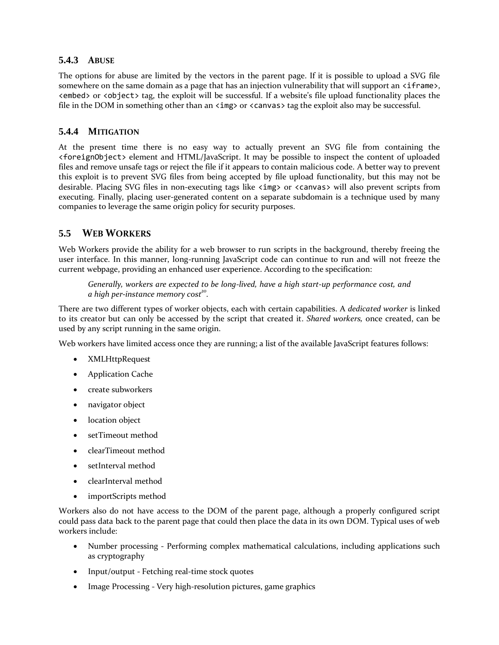## **5.4.3 ABUSE**

The options for abuse are limited by the vectors in the parent page. If it is possible to upload a SVG file somewhere on the same domain as a page that has an injection vulnerability that will support an  $\langle$  if rame>, <embed> or <object> tag, the exploit will be successful. If a website's file upload functionality places the file in the DOM in something other than an  $\langle \text{img} \rangle$  or  $\langle \text{canvas} \rangle$  tag the exploit also may be successful.

### **5.4.4 MITIGATION**

At the present time there is no easy way to actually prevent an SVG file from containing the <foreignObject> element and HTML/JavaScript. It may be possible to inspect the content of uploaded files and remove unsafe tags or reject the file if it appears to contain malicious code. A better way to prevent this exploit is to prevent SVG files from being accepted by file upload functionality, but this may not be desirable. Placing SVG files in non-executing tags like <img> or <canvas> will also prevent scripts from executing. Finally, placing user-generated content on a separate subdomain is a technique used by many companies to leverage the same origin policy for security purposes.

## **5.5 WEB WORKERS**

Web Workers provide the ability for a web browser to run scripts in the background, thereby freeing the user interface. In this manner, long-running JavaScript code can continue to run and will not freeze the current webpage, providing an enhanced user experience. According to the specification:

*Generally, workers are expected to be long-lived, have a high start-up performance cost, and a high per-instance memory cost<sup>20</sup> .*

There are two different types of worker objects, each with certain capabilities. A *dedicated worker* is linked to its creator but can only be accessed by the script that created it. *Shared workers,* once created, can be used by any script running in the same origin.

Web workers have limited access once they are running; a list of the available JavaScript features follows:

- XMLHttpRequest
- Application Cache
- create subworkers
- navigator object
- location object
- setTimeout method
- clearTimeout method
- setInterval method
- clearInterval method
- importScripts method

Workers also do not have access to the DOM of the parent page, although a properly configured script could pass data back to the parent page that could then place the data in its own DOM. Typical uses of web workers include:

- Number processing Performing complex mathematical calculations, including applications such as cryptography
- Input/output Fetching real-time stock quotes
- Image Processing Very high-resolution pictures, game graphics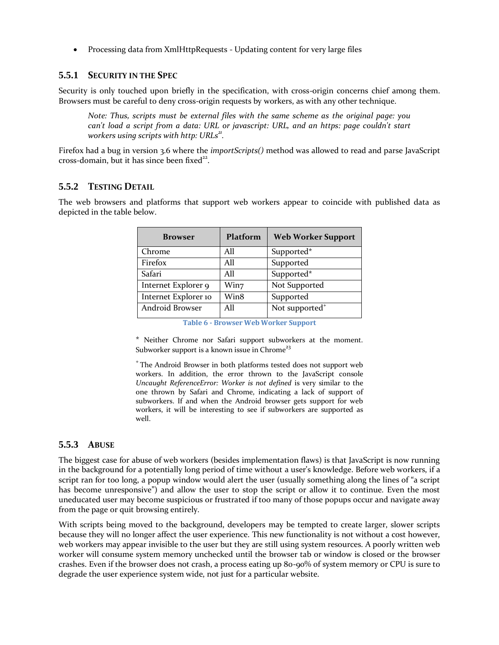Processing data from XmlHttpRequests - Updating content for very large files

### **5.5.1 SECURITY IN THE SPEC**

Security is only touched upon briefly in the specification, with cross-origin concerns chief among them. Browsers must be careful to deny cross-origin requests by workers, as with any other technique.

*Note: Thus, scripts must be external files with the same scheme as the original page: you can't load a script from a data: URL or javascript: URL, and an https: page couldn't start workers using scripts with http: URLs<sup>21</sup> .*

Firefox had a bug in version 3.6 where the *importScripts()* method was allowed to read and parse JavaScript cross-domain, but it has since been fixed<sup>22</sup>.

#### **5.5.2 TESTING DETAIL**

The web browsers and platforms that support web workers appear to coincide with published data as depicted in the table below.

| <b>Browser</b>       | Platform | <b>Web Worker Support</b>  |
|----------------------|----------|----------------------------|
| Chrome               | All      | Supported*                 |
| Firefox              | All      | Supported                  |
| Safari               | A11      | Supported*                 |
| Internet Explorer 9  | Win7     | Not Supported              |
| Internet Explorer 10 | Win8     | Supported                  |
| Android Browser      | All      | Not supported <sup>+</sup> |

**Table 6 - Browser Web Worker Support**

\* Neither Chrome nor Safari support subworkers at the moment. Subworker support is a known issue in Chrome<sup>23</sup>

<sup>+</sup>The Android Browser in both platforms tested does not support web workers. In addition, the error thrown to the JavaScript console *Uncaught ReferenceError: Worker is not defined* is very similar to the one thrown by Safari and Chrome, indicating a lack of support of subworkers. If and when the Android browser gets support for web workers, it will be interesting to see if subworkers are supported as well.

## **5.5.3 ABUSE**

The biggest case for abuse of web workers (besides implementation flaws) is that JavaScript is now running in the background for a potentially long period of time without a user's knowledge. Before web workers, if a script ran for too long, a popup window would alert the user (usually something along the lines of "a script has become unresponsive") and allow the user to stop the script or allow it to continue. Even the most uneducated user may become suspicious or frustrated if too many of those popups occur and navigate away from the page or quit browsing entirely.

With scripts being moved to the background, developers may be tempted to create larger, slower scripts because they will no longer affect the user experience. This new functionality is not without a cost however, web workers may appear invisible to the user but they are still using system resources. A poorly written web worker will consume system memory unchecked until the browser tab or window is closed or the browser crashes. Even if the browser does not crash, a process eating up 80-90% of system memory or CPU is sure to degrade the user experience system wide, not just for a particular website.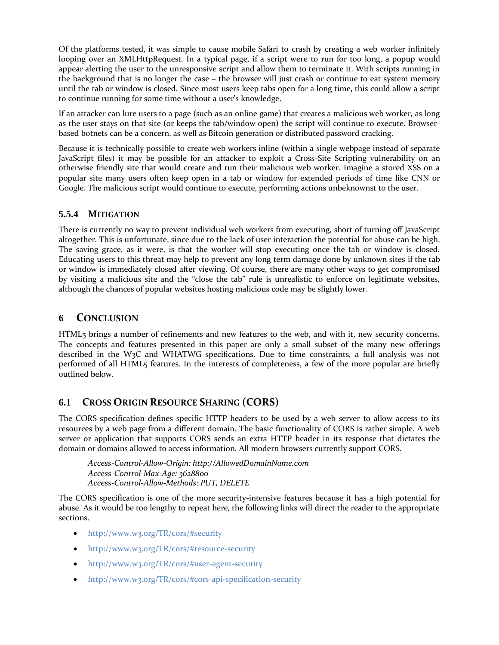Of the platforms tested, it was simple to cause mobile Safari to crash by creating a web worker infinitely looping over an XMLHttpRequest. In a typical page, if a script were to run for too long, a popup would appear alerting the user to the unresponsive script and allow them to terminate it. With scripts running in the background that is no longer the case – the browser will just crash or continue to eat system memory until the tab or window is closed. Since most users keep tabs open for a long time, this could allow a script to continue running for some time without a user's knowledge.

If an attacker can lure users to a page (such as an online game) that creates a malicious web worker, as long as the user stays on that site (or keeps the tab/window open) the script will continue to execute. Browserbased botnets can be a concern, as well as Bitcoin generation or distributed password cracking.

Because it is technically possible to create web workers inline (within a single webpage instead of separate JavaScript files) it may be possible for an attacker to exploit a Cross-Site Scripting vulnerability on an otherwise friendly site that would create and run their malicious web worker. Imagine a stored XSS on a popular site many users often keep open in a tab or window for extended periods of time like CNN or Google. The malicious script would continue to execute, performing actions unbeknownst to the user.

## **5.5.4 MITIGATION**

There is currently no way to prevent individual web workers from executing, short of turning off JavaScript altogether. This is unfortunate, since due to the lack of user interaction the potential for abuse can be high. The saving grace, as it were, is that the worker will stop executing once the tab or window is closed. Educating users to this threat may help to prevent any long term damage done by unknown sites if the tab or window is immediately closed after viewing. Of course, there are many other ways to get compromised by visiting a malicious site and the "close the tab" rule is unrealistic to enforce on legitimate websites, although the chances of popular websites hosting malicious code may be slightly lower.

## **6 CONCLUSION**

HTML5 brings a number of refinements and new features to the web, and with it, new security concerns. The concepts and features presented in this paper are only a small subset of the many new offerings described in the W3C and WHATWG specifications. Due to time constraints, a full analysis was not performed of all HTML5 features. In the interests of completeness, a few of the more popular are briefly outlined below.

## **6.1 CROSS ORIGIN RESOURCE SHARING (CORS)**

The CORS specification defines specific HTTP headers to be used by a web server to allow access to its resources by a web page from a different domain. The basic functionality of CORS is rather simple. A web server or application that supports CORS sends an extra HTTP header in its response that dictates the domain or domains allowed to access information. All modern browsers currently support CORS.

*Access-Control-Allow-Origin: http://AllowedDomainName.com Access-Control-Max-Age: 3628800 Access-Control-Allow-Methods: PUT, DELETE*

The CORS specification is one of the more security-intensive features because it has a high potential for abuse. As it would be too lengthy to repeat here, the following links will direct the reader to the appropriate sections.

- <http://www.w3.org/TR/cors/#security>
- <http://www.w3.org/TR/cors/#resource-security>
- <http://www.w3.org/TR/cors/#user-agent-security>
- <http://www.w3.org/TR/cors/#cors-api-specification-security>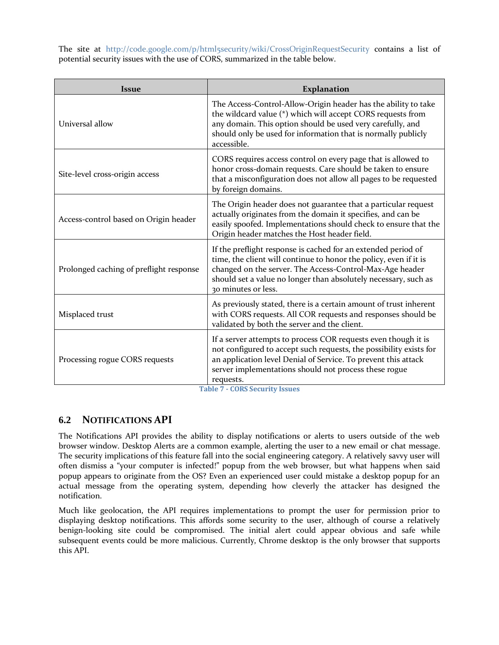The site at <http://code.google.com/p/html5security/wiki/CrossOriginRequestSecurity> contains a list of potential security issues with the use of CORS, summarized in the table below.

| <b>Issue</b>                            | Explanation                                                                                                                                                                                                                                                                              |
|-----------------------------------------|------------------------------------------------------------------------------------------------------------------------------------------------------------------------------------------------------------------------------------------------------------------------------------------|
| Universal allow                         | The Access-Control-Allow-Origin header has the ability to take<br>the wildcard value (*) which will accept CORS requests from<br>any domain. This option should be used very carefully, and<br>should only be used for information that is normally publicly<br>accessible.              |
| Site-level cross-origin access          | CORS requires access control on every page that is allowed to<br>honor cross-domain requests. Care should be taken to ensure<br>that a misconfiguration does not allow all pages to be requested<br>by foreign domains.                                                                  |
| Access-control based on Origin header   | The Origin header does not guarantee that a particular request<br>actually originates from the domain it specifies, and can be<br>easily spoofed. Implementations should check to ensure that the<br>Origin header matches the Host header field.                                        |
| Prolonged caching of preflight response | If the preflight response is cached for an extended period of<br>time, the client will continue to honor the policy, even if it is<br>changed on the server. The Access-Control-Max-Age header<br>should set a value no longer than absolutely necessary, such as<br>30 minutes or less. |
| Misplaced trust                         | As previously stated, there is a certain amount of trust inherent<br>with CORS requests. All COR requests and responses should be<br>validated by both the server and the client.                                                                                                        |
| Processing rogue CORS requests          | If a server attempts to process COR requests even though it is<br>not configured to accept such requests, the possibility exists for<br>an application level Denial of Service. To prevent this attack<br>server implementations should not process these rogue<br>requests.             |

**Table 7 - CORS Security Issues**

## **6.2 NOTIFICATIONS API**

The Notifications API provides the ability to display notifications or alerts to users outside of the web browser window. Desktop Alerts are a common example, alerting the user to a new email or chat message. The security implications of this feature fall into the social engineering category. A relatively savvy user will often dismiss a "your computer is infected!" popup from the web browser, but what happens when said popup appears to originate from the OS? Even an experienced user could mistake a desktop popup for an actual message from the operating system, depending how cleverly the attacker has designed the notification.

Much like geolocation, the API requires implementations to prompt the user for permission prior to displaying desktop notifications. This affords some security to the user, although of course a relatively benign-looking site could be compromised. The initial alert could appear obvious and safe while subsequent events could be more malicious. Currently, Chrome desktop is the only browser that supports this API.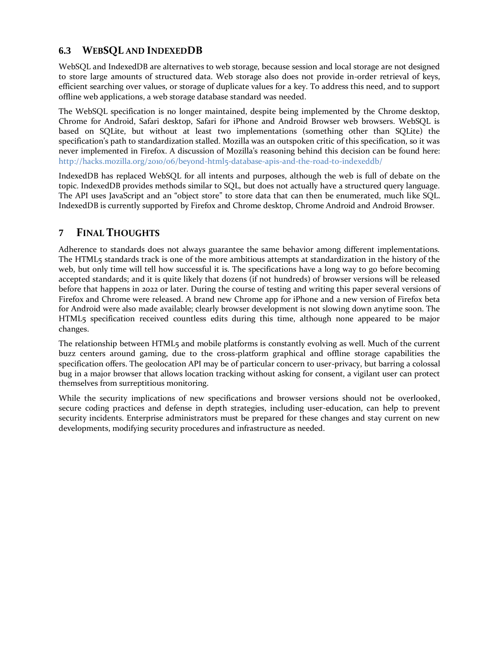## **6.3 WEBSQL AND INDEXEDDB**

WebSQL and IndexedDB are alternatives to web storage, because session and local storage are not designed to store large amounts of structured data. Web storage also does not provide in-order retrieval of keys, efficient searching over values, or storage of duplicate values for a key. To address this need, and to support offline web applications, a web storage database standard was needed.

The WebSQL specification is no longer maintained, despite being implemented by the Chrome desktop, Chrome for Android, Safari desktop, Safari for iPhone and Android Browser web browsers. WebSQL is based on SQLite, but without at least two implementations (something other than SQLite) the specification's path to standardization stalled. Mozilla was an outspoken critic of this specification, so it was never implemented in Firefox. A discussion of Mozilla's reasoning behind this decision can be found here: <http://hacks.mozilla.org/2010/06/beyond-html5-database-apis-and-the-road-to-indexeddb/>

IndexedDB has replaced WebSQL for all intents and purposes, although the web is full of debate on the topic. IndexedDB provides methods similar to SQL, but does not actually have a structured query language. The API uses JavaScript and an "object store" to store data that can then be enumerated, much like SQL. IndexedDB is currently supported by Firefox and Chrome desktop, Chrome Android and Android Browser.

## **7 FINAL THOUGHTS**

Adherence to standards does not always guarantee the same behavior among different implementations. The HTML5 standards track is one of the more ambitious attempts at standardization in the history of the web, but only time will tell how successful it is. The specifications have a long way to go before becoming accepted standards; and it is quite likely that dozens (if not hundreds) of browser versions will be released before that happens in 2022 or later. During the course of testing and writing this paper several versions of Firefox and Chrome were released. A brand new Chrome app for iPhone and a new version of Firefox beta for Android were also made available; clearly browser development is not slowing down anytime soon. The HTML5 specification received countless edits during this time, although none appeared to be major changes.

The relationship between HTML5 and mobile platforms is constantly evolving as well. Much of the current buzz centers around gaming, due to the cross-platform graphical and offline storage capabilities the specification offers. The geolocation API may be of particular concern to user-privacy, but barring a colossal bug in a major browser that allows location tracking without asking for consent, a vigilant user can protect themselves from surreptitious monitoring.

While the security implications of new specifications and browser versions should not be overlooked, secure coding practices and defense in depth strategies, including user-education, can help to prevent security incidents. Enterprise administrators must be prepared for these changes and stay current on new developments, modifying security procedures and infrastructure as needed.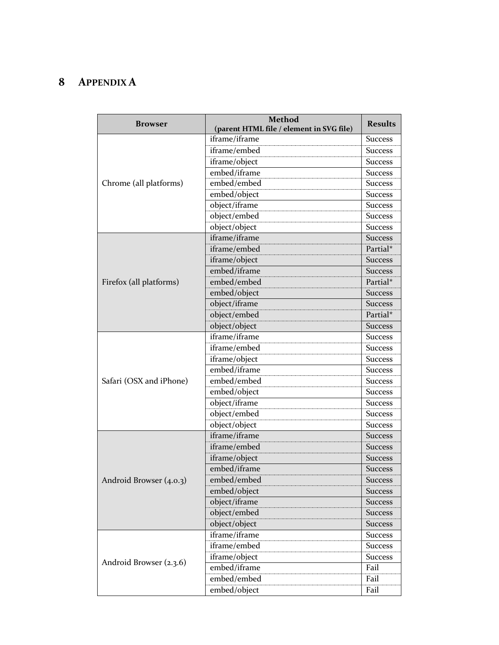# <span id="page-19-0"></span>**8 APPENDIX A**

| <b>Browser</b>          | <b>Method</b><br>(parent HTML file / element in SVG file) | <b>Results</b> |
|-------------------------|-----------------------------------------------------------|----------------|
|                         | iframe/iframe                                             | <b>Success</b> |
| Chrome (all platforms)  | iframe/embed                                              | <b>Success</b> |
|                         | iframe/object                                             | <b>Success</b> |
|                         | embed/iframe                                              | <b>Success</b> |
|                         | embed/embed                                               | <b>Success</b> |
|                         | embed/object                                              | <b>Success</b> |
|                         | object/iframe                                             | <b>Success</b> |
|                         | object/embed                                              | <b>Success</b> |
|                         | object/object                                             | Success        |
|                         | iframe/iframe                                             | <b>Success</b> |
|                         | iframe/embed                                              | Partial*       |
|                         | iframe/object                                             | <b>Success</b> |
|                         | embed/iframe                                              | <b>Success</b> |
| Firefox (all platforms) | embed/embed                                               | Partial*       |
|                         | embed/object                                              | <b>Success</b> |
|                         | object/iframe                                             | <b>Success</b> |
|                         | object/embed                                              | Partial*       |
|                         | object/object                                             | <b>Success</b> |
|                         | iframe/iframe                                             | <b>Success</b> |
|                         | iframe/embed                                              | <b>Success</b> |
|                         | iframe/object                                             | <b>Success</b> |
|                         | embed/iframe                                              | <b>Success</b> |
| Safari (OSX and iPhone) | embed/embed                                               | <b>Success</b> |
|                         | embed/object                                              | Success        |
|                         | object/iframe                                             | <b>Success</b> |
|                         | object/embed                                              | <b>Success</b> |
|                         | object/object                                             | <b>Success</b> |
|                         | iframe/iframe                                             | <b>Success</b> |
|                         | iframe/embed                                              | <b>Success</b> |
|                         | iframe/object                                             | <b>Success</b> |
|                         | embed/iframe                                              | <b>Success</b> |
| Android Browser (4.0.3) | embed/embed                                               | <b>Success</b> |
|                         | embed/object                                              | <b>Success</b> |
|                         | object/iframe                                             | <b>Success</b> |
|                         | object/embed                                              | <b>Success</b> |
|                         | object/object                                             | <b>Success</b> |
|                         | iframe/iframe                                             | <b>Success</b> |
|                         | iframe/embed                                              | <b>Success</b> |
|                         | iframe/object                                             | <b>Success</b> |
| Android Browser (2.3.6) | embed/iframe                                              | Fail           |
|                         | embed/embed                                               | Fail           |
|                         | embed/object                                              | Fail           |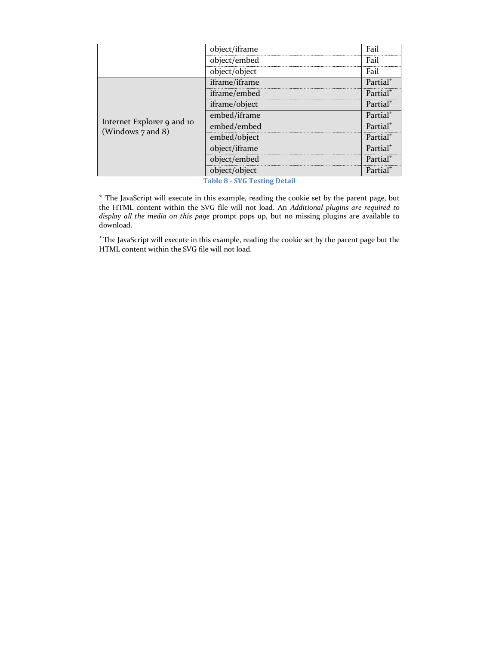|                                                 | object/iframe | Fail                 |
|-------------------------------------------------|---------------|----------------------|
|                                                 | object/embed  | Fail                 |
|                                                 | object/object | Fail                 |
| Internet Explorer 9 and 10<br>(Windows 7 and 8) | iframe/iframe | Partial <sup>+</sup> |
|                                                 | iframe/embed  | Partial <sup>+</sup> |
|                                                 | iframe/object | Partial <sup>+</sup> |
|                                                 | embed/iframe  | Partial <sup>+</sup> |
|                                                 | embed/embed   | Partial <sup>+</sup> |
|                                                 | embed/object  | Partial <sup>+</sup> |
|                                                 | object/iframe | Partial <sup>+</sup> |
|                                                 | object/embed  | Partial <sup>+</sup> |
|                                                 | object/object | Partial <sup>+</sup> |

**Table 8 - SVG Testing Detail**

\* The JavaScript will execute in this example, reading the cookie set by the parent page, but the HTML content within the SVG file will not load. An *Additional plugins are required to display all the media on this page* prompt pops up, but no missing plugins are available to download.

<sup>+</sup>The JavaScript will execute in this example, reading the cookie set by the parent page but the HTML content within the SVG file will not load.